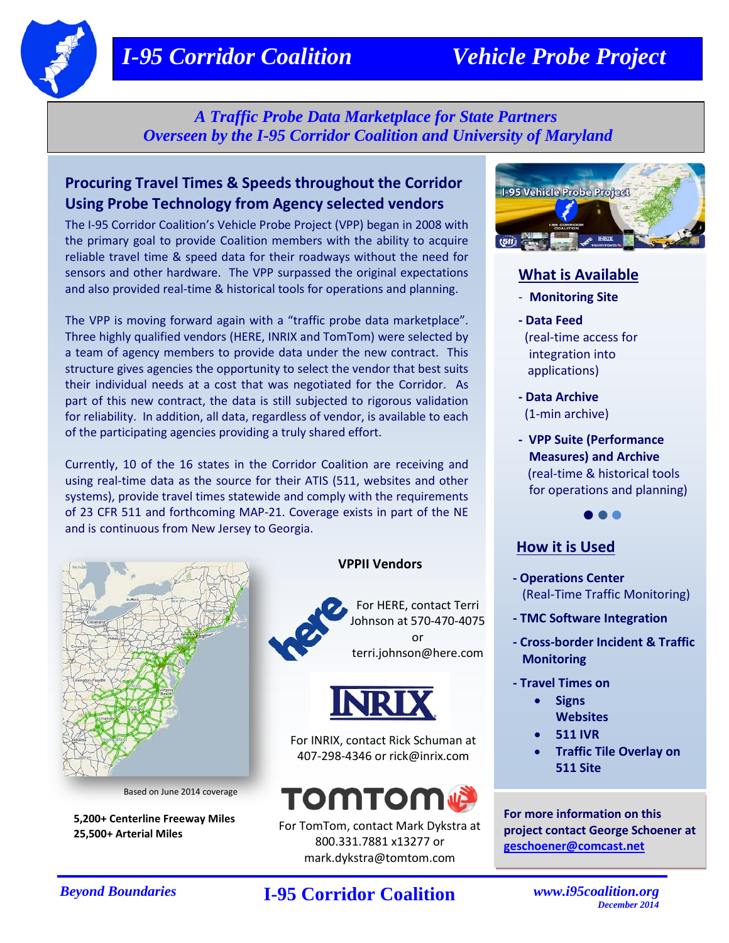# *I-95 Corridor Coalition Vehicle Probe Project*

*A Traffic Probe Data Marketplace for State Partners Overseen by the I-95 Corridor Coalition and University of Maryland*

## **Procuring Travel Times & Speeds throughout the Corridor Using Probe Technology from Agency selected vendors**

The I-95 Corridor Coalition's Vehicle Probe Project (VPP) began in 2008 with the primary goal to provide Coalition members with the ability to acquire reliable travel time & speed data for their roadways without the need for sensors and other hardware. The VPP surpassed the original expectations and also provided real-time & historical tools for operations and planning.

The VPP is moving forward again with a "traffic probe data marketplace". Three highly qualified vendors (HERE, INRIX and TomTom) were selected by a team of agency members to provide data under the new contract. This structure gives agencies the opportunity to select the vendor that best suits their individual needs at a cost that was negotiated for the Corridor. As part of this new contract, the data is still subjected to rigorous validation for reliability. In addition, all data, regardless of vendor, is available to each of the participating agencies providing a truly shared effort.

Currently, 10 of the 16 states in the Corridor Coalition are receiving and using real-time data as the source for their ATIS (511, websites and other systems), provide travel times statewide and comply with the requirements of 23 CFR 511 and forthcoming MAP-21. Coverage exists in part of the NE and is continuous from New Jersey to Georgia.



Based on June 2014 coverage

**5,200+ Centerline Freeway Miles 25,500+ Arterial Miles**

#### **VPPII Vendors**



For HERE, contact Terri Johnson at 570-470-4075 or terri.johnson@here.com



For INRIX, contact Rick Schuman at 407-298-4346 or rick@inrix.com



For TomTom, contact Mark Dykstra at 800.331.7881 x13277 or mark.dykstra@tomtom.com



## **What is Available**

- **Monitoring Site**
- **- Data Feed** (real-time access for integration into applications)
- **- Data Archive** (1-min archive)
- **VPP Suite (Performance Measures) and Archive** (real-time & historical tools for operations and planning)

 $\bullet$ 

### **How it is Used**

- **- Operations Center** (Real-Time Traffic Monitoring)
- **- TMC Software Integration**
- **- Cross-border Incident & Traffic Monitoring**
- **- Travel Times on** 
	- **Signs Websites**
	- **511 IVR**
	- **Traffic Tile Overlay on 511 Site**

**For more information on this project contact George Schoener at [geschoener@comcast.net](mailto:geschoener@comcast.net)**

## *Beyond Boundaries* **I-95 Corridor Coalition** *[www.i95coalition.org](http://www.i95coalition.org/)*